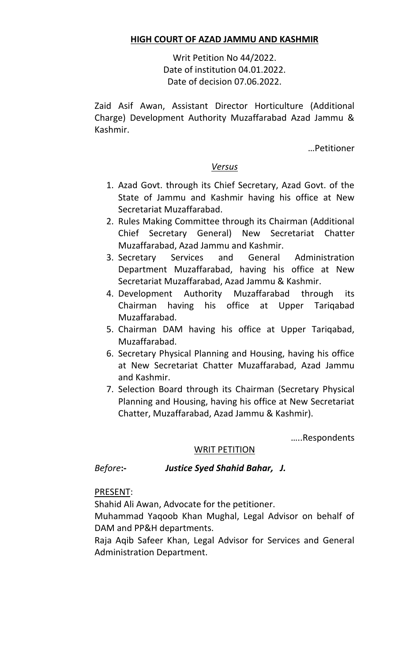# **HIGH COURT OF AZAD JAMMU AND KASHMIR**

Writ Petition No 44/2022. Date of institution 04.01.2022. Date of decision 07.06.2022.

Zaid Asif Awan, Assistant Director Horticulture (Additional Charge) Development Authority Muzaffarabad Azad Jammu & Kashmir.

…Petitioner

## *Versus*

- 1. Azad Govt. through its Chief Secretary, Azad Govt. of the State of Jammu and Kashmir having his office at New Secretariat Muzaffarabad.
- 2. Rules Making Committee through its Chairman (Additional Chief Secretary General) New Secretariat Chatter Muzaffarabad, Azad Jammu and Kashmir.
- 3. Secretary Services and General Administration Department Muzaffarabad, having his office at New Secretariat Muzaffarabad, Azad Jammu & Kashmir.
- 4. Development Authority Muzaffarabad through its Chairman having his office at Upper Tariqabad Muzaffarabad.
- 5. Chairman DAM having his office at Upper Tariqabad, Muzaffarabad.
- 6. Secretary Physical Planning and Housing, having his office at New Secretariat Chatter Muzaffarabad, Azad Jammu and Kashmir.
- 7. Selection Board through its Chairman (Secretary Physical Planning and Housing, having his office at New Secretariat Chatter, Muzaffarabad, Azad Jammu & Kashmir).

…..Respondents

## WRIT PETITION

# *Before***:-** *Justice Syed Shahid Bahar, J.*

PRESENT:

Shahid Ali Awan, Advocate for the petitioner.

Muhammad Yaqoob Khan Mughal, Legal Advisor on behalf of DAM and PP&H departments.

Raja Aqib Safeer Khan, Legal Advisor for Services and General Administration Department.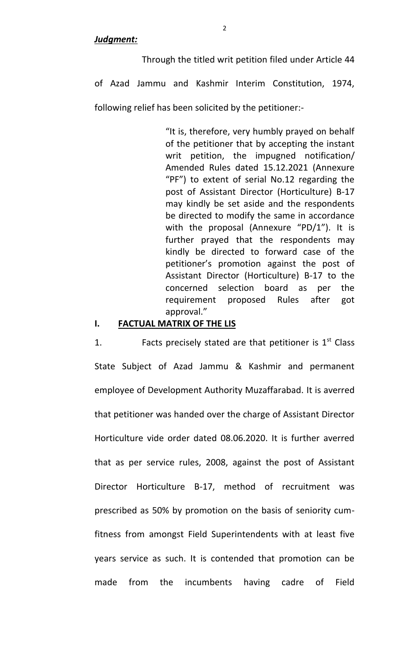#### *Judgment:*

Through the titled writ petition filed under Article 44

of Azad Jammu and Kashmir Interim Constitution, 1974,

following relief has been solicited by the petitioner:-

"It is, therefore, very humbly prayed on behalf of the petitioner that by accepting the instant writ petition, the impugned notification/ Amended Rules dated 15.12.2021 (Annexure "PF") to extent of serial No.12 regarding the post of Assistant Director (Horticulture) B-17 may kindly be set aside and the respondents be directed to modify the same in accordance with the proposal (Annexure "PD/1"). It is further prayed that the respondents may kindly be directed to forward case of the petitioner's promotion against the post of Assistant Director (Horticulture) B-17 to the concerned selection board as per the requirement proposed Rules after got approval."

#### **I. FACTUAL MATRIX OF THE LIS**

1. Facts precisely stated are that petitioner is  $1<sup>st</sup>$  Class State Subject of Azad Jammu & Kashmir and permanent employee of Development Authority Muzaffarabad. It is averred that petitioner was handed over the charge of Assistant Director Horticulture vide order dated 08.06.2020. It is further averred that as per service rules, 2008, against the post of Assistant Director Horticulture B-17, method of recruitment was prescribed as 50% by promotion on the basis of seniority cumfitness from amongst Field Superintendents with at least five years service as such. It is contended that promotion can be made from the incumbents having cadre of Field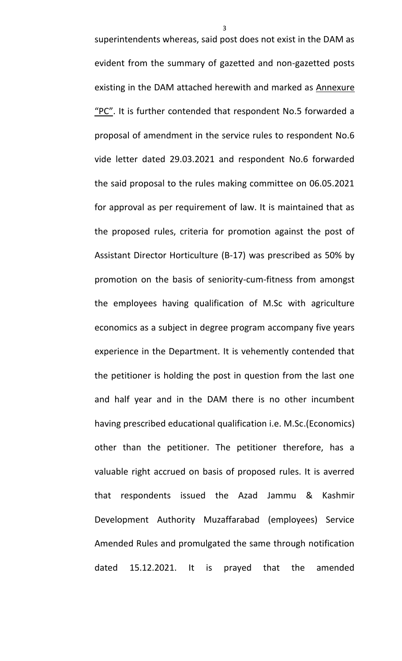superintendents whereas, said post does not exist in the DAM as evident from the summary of gazetted and non-gazetted posts existing in the DAM attached herewith and marked as Annexure "PC". It is further contended that respondent No.5 forwarded a proposal of amendment in the service rules to respondent No.6 vide letter dated 29.03.2021 and respondent No.6 forwarded the said proposal to the rules making committee on 06.05.2021 for approval as per requirement of law. It is maintained that as the proposed rules, criteria for promotion against the post of Assistant Director Horticulture (B-17) was prescribed as 50% by promotion on the basis of seniority-cum-fitness from amongst the employees having qualification of M.Sc with agriculture economics as a subject in degree program accompany five years experience in the Department. It is vehemently contended that the petitioner is holding the post in question from the last one and half year and in the DAM there is no other incumbent having prescribed educational qualification i.e. M.Sc.(Economics) other than the petitioner. The petitioner therefore, has a valuable right accrued on basis of proposed rules. It is averred that respondents issued the Azad Jammu & Kashmir Development Authority Muzaffarabad (employees) Service Amended Rules and promulgated the same through notification dated 15.12.2021. It is prayed that the amended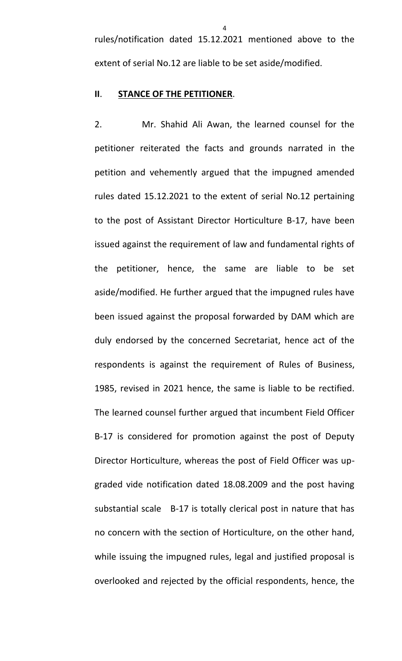rules/notification dated 15.12.2021 mentioned above to the extent of serial No.12 are liable to be set aside/modified.

#### **II**. **STANCE OF THE PETITIONER**.

2. Mr. Shahid Ali Awan, the learned counsel for the petitioner reiterated the facts and grounds narrated in the petition and vehemently argued that the impugned amended rules dated 15.12.2021 to the extent of serial No.12 pertaining to the post of Assistant Director Horticulture B-17, have been issued against the requirement of law and fundamental rights of the petitioner, hence, the same are liable to be set aside/modified. He further argued that the impugned rules have been issued against the proposal forwarded by DAM which are duly endorsed by the concerned Secretariat, hence act of the respondents is against the requirement of Rules of Business, 1985, revised in 2021 hence, the same is liable to be rectified. The learned counsel further argued that incumbent Field Officer B-17 is considered for promotion against the post of Deputy Director Horticulture, whereas the post of Field Officer was upgraded vide notification dated 18.08.2009 and the post having substantial scale B-17 is totally clerical post in nature that has no concern with the section of Horticulture, on the other hand, while issuing the impugned rules, legal and justified proposal is overlooked and rejected by the official respondents, hence, the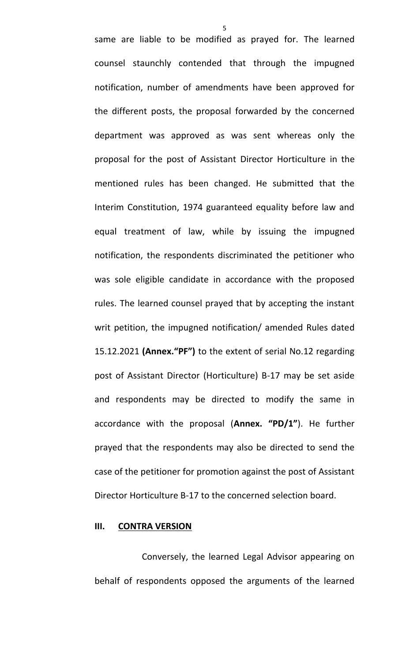same are liable to be modified as prayed for. The learned counsel staunchly contended that through the impugned notification, number of amendments have been approved for the different posts, the proposal forwarded by the concerned department was approved as was sent whereas only the proposal for the post of Assistant Director Horticulture in the mentioned rules has been changed. He submitted that the Interim Constitution, 1974 guaranteed equality before law and equal treatment of law, while by issuing the impugned notification, the respondents discriminated the petitioner who was sole eligible candidate in accordance with the proposed rules. The learned counsel prayed that by accepting the instant writ petition, the impugned notification/ amended Rules dated 15.12.2021 **(Annex."PF")** to the extent of serial No.12 regarding post of Assistant Director (Horticulture) B-17 may be set aside and respondents may be directed to modify the same in accordance with the proposal (**Annex. "PD/1"**). He further prayed that the respondents may also be directed to send the case of the petitioner for promotion against the post of Assistant Director Horticulture B-17 to the concerned selection board.

#### **III. CONTRA VERSION**

Conversely, the learned Legal Advisor appearing on behalf of respondents opposed the arguments of the learned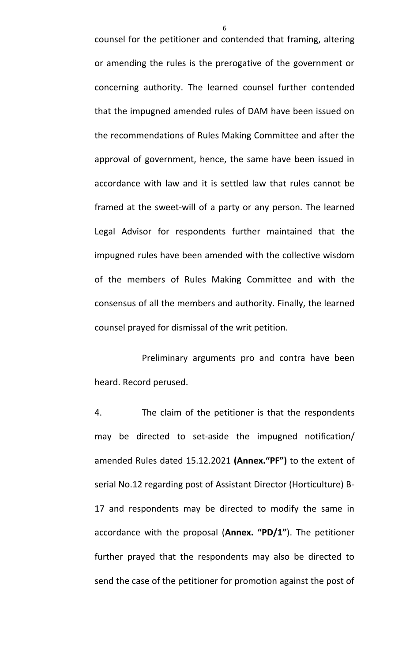counsel for the petitioner and contended that framing, altering or amending the rules is the prerogative of the government or concerning authority. The learned counsel further contended that the impugned amended rules of DAM have been issued on the recommendations of Rules Making Committee and after the approval of government, hence, the same have been issued in accordance with law and it is settled law that rules cannot be framed at the sweet-will of a party or any person. The learned Legal Advisor for respondents further maintained that the impugned rules have been amended with the collective wisdom of the members of Rules Making Committee and with the consensus of all the members and authority. Finally, the learned counsel prayed for dismissal of the writ petition.

Preliminary arguments pro and contra have been heard. Record perused.

4. The claim of the petitioner is that the respondents may be directed to set-aside the impugned notification/ amended Rules dated 15.12.2021 **(Annex."PF")** to the extent of serial No.12 regarding post of Assistant Director (Horticulture) B-17 and respondents may be directed to modify the same in accordance with the proposal (**Annex. "PD/1"**). The petitioner further prayed that the respondents may also be directed to send the case of the petitioner for promotion against the post of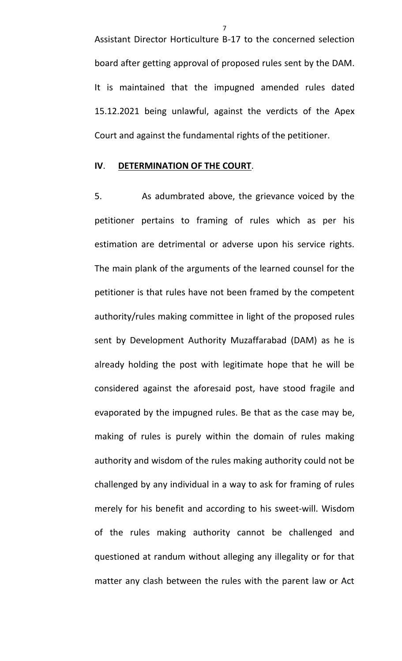Assistant Director Horticulture B-17 to the concerned selection board after getting approval of proposed rules sent by the DAM. It is maintained that the impugned amended rules dated 15.12.2021 being unlawful, against the verdicts of the Apex Court and against the fundamental rights of the petitioner.

#### **IV**. **DETERMINATION OF THE COURT**.

5. As adumbrated above, the grievance voiced by the petitioner pertains to framing of rules which as per his estimation are detrimental or adverse upon his service rights. The main plank of the arguments of the learned counsel for the petitioner is that rules have not been framed by the competent authority/rules making committee in light of the proposed rules sent by Development Authority Muzaffarabad (DAM) as he is already holding the post with legitimate hope that he will be considered against the aforesaid post, have stood fragile and evaporated by the impugned rules. Be that as the case may be, making of rules is purely within the domain of rules making authority and wisdom of the rules making authority could not be challenged by any individual in a way to ask for framing of rules merely for his benefit and according to his sweet-will. Wisdom of the rules making authority cannot be challenged and questioned at randum without alleging any illegality or for that matter any clash between the rules with the parent law or Act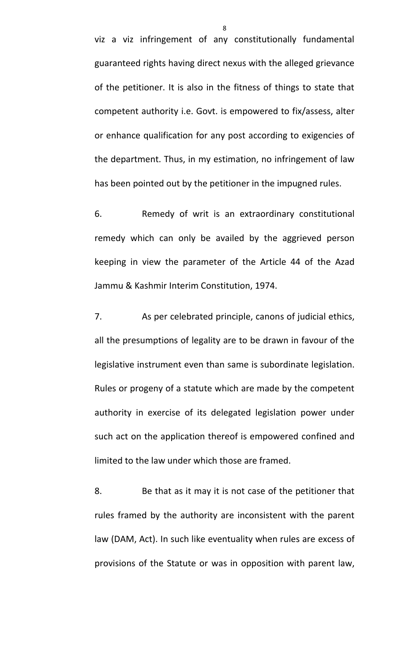viz a viz infringement of any constitutionally fundamental guaranteed rights having direct nexus with the alleged grievance of the petitioner. It is also in the fitness of things to state that competent authority i.e. Govt. is empowered to fix/assess, alter or enhance qualification for any post according to exigencies of the department. Thus, in my estimation, no infringement of law has been pointed out by the petitioner in the impugned rules.

6. Remedy of writ is an extraordinary constitutional remedy which can only be availed by the aggrieved person keeping in view the parameter of the Article 44 of the Azad Jammu & Kashmir Interim Constitution, 1974.

7. As per celebrated principle, canons of judicial ethics, all the presumptions of legality are to be drawn in favour of the legislative instrument even than same is subordinate legislation. Rules or progeny of a statute which are made by the competent authority in exercise of its delegated legislation power under such act on the application thereof is empowered confined and limited to the law under which those are framed.

8. Be that as it may it is not case of the petitioner that rules framed by the authority are inconsistent with the parent law (DAM, Act). In such like eventuality when rules are excess of provisions of the Statute or was in opposition with parent law,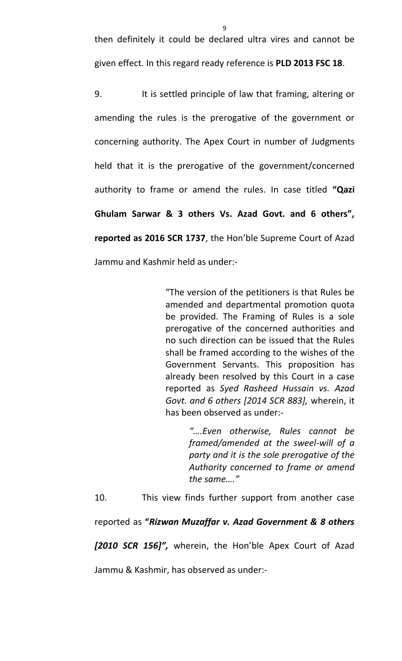then definitely it could be declared ultra vires and cannot be given effect. In this regard ready reference is **PLD 2013 FSC 18**.

9. It is settled principle of law that framing, altering or amending the rules is the prerogative of the government or concerning authority. The Apex Court in number of Judgments held that it is the prerogative of the government/concerned authority to frame or amend the rules. In case titled **"Qazi Ghulam Sarwar & 3 others Vs. Azad Govt. and 6 others", reported as 2016 SCR 1737**, the Hon'ble Supreme Court of Azad Jammu and Kashmir held as under:-

> "The version of the petitioners is that Rules be amended and departmental promotion quota be provided. The Framing of Rules is a sole prerogative of the concerned authorities and no such direction can be issued that the Rules shall be framed according to the wishes of the Government Servants. This proposition has already been resolved by this Court in a case reported as *Syed Rasheed Hussain vs. Azad Govt. and 6 others [2014 SCR 883],* wherein, it has been observed as under:-

> > *"….Even otherwise, Rules cannot be framed/amended at the sweel-will of a party and it is the sole prerogative of the Authority concerned to frame or amend the same…."*

10. This view finds further support from another case

reported as **"***Rizwan Muzaffar v. Azad Government & 8 others* 

*[2010 SCR 156]",* wherein, the Hon'ble Apex Court of Azad

Jammu & Kashmir, has observed as under:-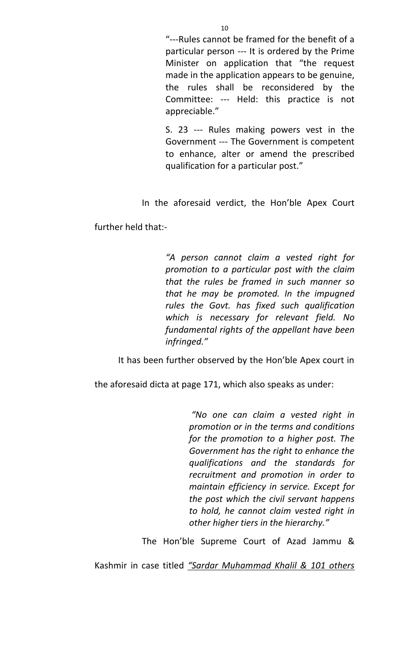"---Rules cannot be framed for the benefit of a particular person --- It is ordered by the Prime Minister on application that "the request made in the application appears to be genuine, the rules shall be reconsidered by the Committee: --- Held: this practice is not appreciable."

S. 23 --- Rules making powers vest in the Government --- The Government is competent to enhance, alter or amend the prescribed qualification for a particular post."

In the aforesaid verdict, the Hon'ble Apex Court

further held that:-

*"A person cannot claim a vested right for promotion to a particular post with the claim that the rules be framed in such manner so that he may be promoted. In the impugned rules the Govt. has fixed such qualification which is necessary for relevant field. No fundamental rights of the appellant have been infringed."* 

It has been further observed by the Hon'ble Apex court in

the aforesaid dicta at page 171, which also speaks as under:

*"No one can claim a vested right in promotion or in the terms and conditions for the promotion to a higher post. The Government has the right to enhance the qualifications and the standards for recruitment and promotion in order to maintain efficiency in service. Except for the post which the civil servant happens to hold, he cannot claim vested right in other higher tiers in the hierarchy."* 

The Hon'ble Supreme Court of Azad Jammu &

Kashmir in case titled *"Sardar Muhammad Khalil & 101 others*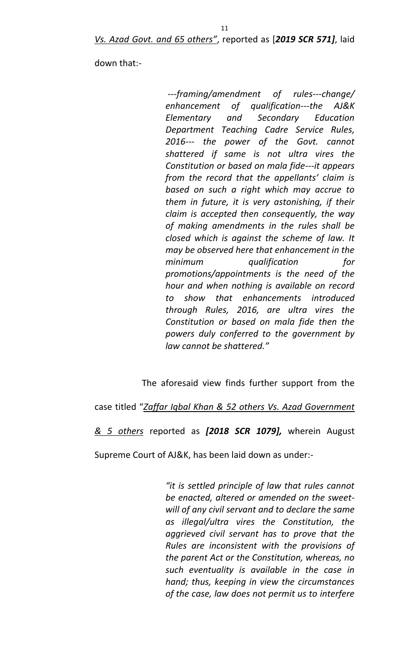down that:-

*---framing/amendment of rules---change/ enhancement of qualification---the AJ&K Elementary and Secondary Education Department Teaching Cadre Service Rules, 2016--- the power of the Govt. cannot shattered if same is not ultra vires the Constitution or based on mala fide---it appears from the record that the appellants' claim is based on such a right which may accrue to them in future, it is very astonishing, if their claim is accepted then consequently, the way of making amendments in the rules shall be closed which is against the scheme of law. It may be observed here that enhancement in the minimum qualification for promotions/appointments is the need of the hour and when nothing is available on record to show that enhancements introduced through Rules, 2016, are ultra vires the Constitution or based on mala fide then the powers duly conferred to the government by law cannot be shattered."*

The aforesaid view finds further support from the

case titled "*Zaffar Iqbal Khan & 52 others Vs. Azad Government* 

*& 5 others* reported as *[2018 SCR 1079],* wherein August

Supreme Court of AJ&K, has been laid down as under:-

*"it is settled principle of law that rules cannot be enacted, altered or amended on the sweetwill of any civil servant and to declare the same as illegal/ultra vires the Constitution, the aggrieved civil servant has to prove that the Rules are inconsistent with the provisions of the parent Act or the Constitution, whereas, no such eventuality is available in the case in hand; thus, keeping in view the circumstances of the case, law does not permit us to interfere*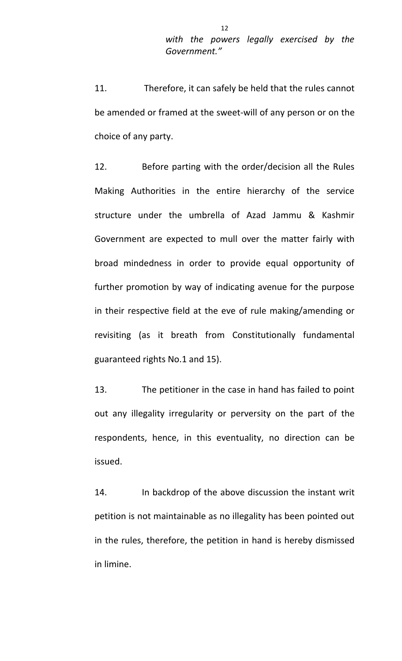11. Therefore, it can safely be held that the rules cannot be amended or framed at the sweet-will of any person or on the choice of any party.

12. Before parting with the order/decision all the Rules Making Authorities in the entire hierarchy of the service structure under the umbrella of Azad Jammu & Kashmir Government are expected to mull over the matter fairly with broad mindedness in order to provide equal opportunity of further promotion by way of indicating avenue for the purpose in their respective field at the eve of rule making/amending or revisiting (as it breath from Constitutionally fundamental guaranteed rights No.1 and 15).

13. The petitioner in the case in hand has failed to point out any illegality irregularity or perversity on the part of the respondents, hence, in this eventuality, no direction can be issued.

14. In backdrop of the above discussion the instant writ petition is not maintainable as no illegality has been pointed out in the rules, therefore, the petition in hand is hereby dismissed in limine.